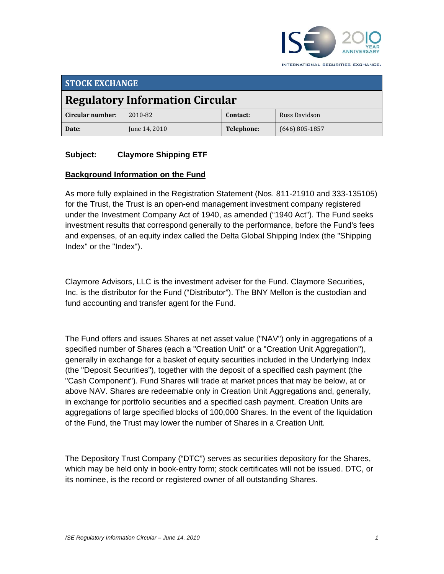

**STOCK EXCHANGE Regulatory Information Circular Circular number**: 2010‐82 **Contact**: Russ Davidson **Date**: June 14, 2010 **Telephone**: (646) 805‐1857

### **Subject: Claymore Shipping ETF**

#### **Background Information on the Fund**

As more fully explained in the Registration Statement (Nos. 811-21910 and 333-135105) for the Trust, the Trust is an open-end management investment company registered under the Investment Company Act of 1940, as amended ("1940 Act"). The Fund seeks investment results that correspond generally to the performance, before the Fund's fees and expenses, of an equity index called the Delta Global Shipping Index (the "Shipping Index" or the "Index").

Claymore Advisors, LLC is the investment adviser for the Fund. Claymore Securities, Inc. is the distributor for the Fund ("Distributor"). The BNY Mellon is the custodian and fund accounting and transfer agent for the Fund.

The Fund offers and issues Shares at net asset value ("NAV") only in aggregations of a specified number of Shares (each a "Creation Unit" or a "Creation Unit Aggregation"), generally in exchange for a basket of equity securities included in the Underlying Index (the "Deposit Securities"), together with the deposit of a specified cash payment (the "Cash Component"). Fund Shares will trade at market prices that may be below, at or above NAV. Shares are redeemable only in Creation Unit Aggregations and, generally, in exchange for portfolio securities and a specified cash payment. Creation Units are aggregations of large specified blocks of 100,000 Shares. In the event of the liquidation of the Fund, the Trust may lower the number of Shares in a Creation Unit.

The Depository Trust Company ("DTC") serves as securities depository for the Shares, which may be held only in book-entry form; stock certificates will not be issued. DTC, or its nominee, is the record or registered owner of all outstanding Shares.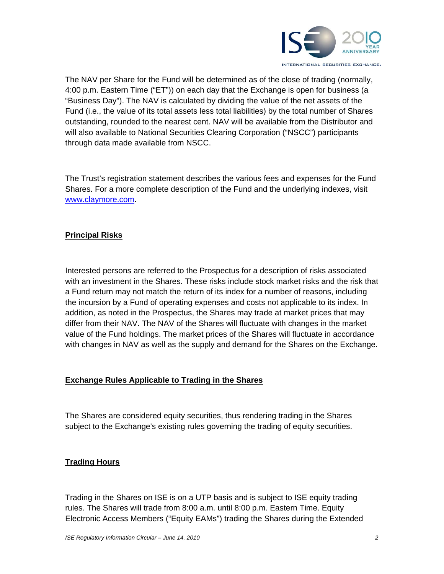

The NAV per Share for the Fund will be determined as of the close of trading (normally, 4:00 p.m. Eastern Time ("ET")) on each day that the Exchange is open for business (a "Business Day"). The NAV is calculated by dividing the value of the net assets of the Fund (i.e., the value of its total assets less total liabilities) by the total number of Shares outstanding, rounded to the nearest cent. NAV will be available from the Distributor and will also available to National Securities Clearing Corporation ("NSCC") participants through data made available from NSCC.

The Trust's registration statement describes the various fees and expenses for the Fund Shares. For a more complete description of the Fund and the underlying indexes, visit www.claymore.com.

# **Principal Risks**

Interested persons are referred to the Prospectus for a description of risks associated with an investment in the Shares. These risks include stock market risks and the risk that a Fund return may not match the return of its index for a number of reasons, including the incursion by a Fund of operating expenses and costs not applicable to its index. In addition, as noted in the Prospectus, the Shares may trade at market prices that may differ from their NAV. The NAV of the Shares will fluctuate with changes in the market value of the Fund holdings. The market prices of the Shares will fluctuate in accordance with changes in NAV as well as the supply and demand for the Shares on the Exchange.

# **Exchange Rules Applicable to Trading in the Shares**

The Shares are considered equity securities, thus rendering trading in the Shares subject to the Exchange's existing rules governing the trading of equity securities.

# **Trading Hours**

Trading in the Shares on ISE is on a UTP basis and is subject to ISE equity trading rules. The Shares will trade from 8:00 a.m. until 8:00 p.m. Eastern Time. Equity Electronic Access Members ("Equity EAMs") trading the Shares during the Extended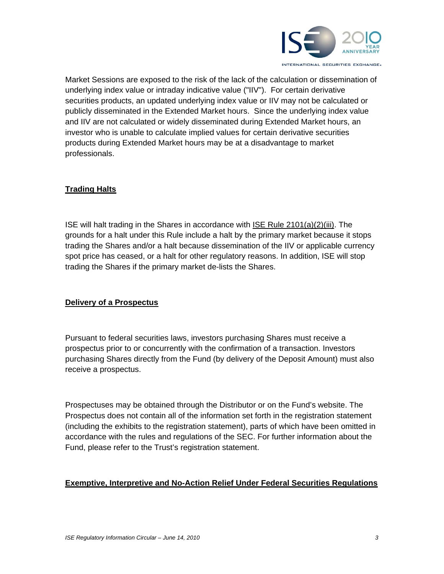

Market Sessions are exposed to the risk of the lack of the calculation or dissemination of underlying index value or intraday indicative value ("IIV"). For certain derivative securities products, an updated underlying index value or IIV may not be calculated or publicly disseminated in the Extended Market hours. Since the underlying index value and IIV are not calculated or widely disseminated during Extended Market hours, an investor who is unable to calculate implied values for certain derivative securities products during Extended Market hours may be at a disadvantage to market professionals.

### **Trading Halts**

ISE will halt trading in the Shares in accordance with ISE Rule 2101(a)(2)(iii). The grounds for a halt under this Rule include a halt by the primary market because it stops trading the Shares and/or a halt because dissemination of the IIV or applicable currency spot price has ceased, or a halt for other regulatory reasons. In addition, ISE will stop trading the Shares if the primary market de-lists the Shares.

#### **Delivery of a Prospectus**

Pursuant to federal securities laws, investors purchasing Shares must receive a prospectus prior to or concurrently with the confirmation of a transaction. Investors purchasing Shares directly from the Fund (by delivery of the Deposit Amount) must also receive a prospectus.

Prospectuses may be obtained through the Distributor or on the Fund's website. The Prospectus does not contain all of the information set forth in the registration statement (including the exhibits to the registration statement), parts of which have been omitted in accordance with the rules and regulations of the SEC. For further information about the Fund, please refer to the Trust's registration statement.

#### **Exemptive, Interpretive and No-Action Relief Under Federal Securities Regulations**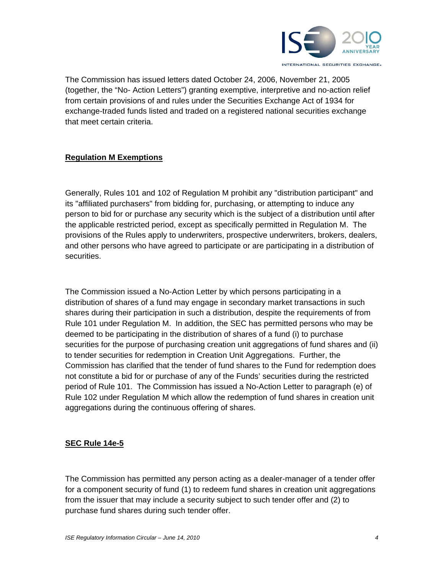

The Commission has issued letters dated October 24, 2006, November 21, 2005 (together, the "No- Action Letters") granting exemptive, interpretive and no-action relief from certain provisions of and rules under the Securities Exchange Act of 1934 for exchange-traded funds listed and traded on a registered national securities exchange that meet certain criteria.

# **Regulation M Exemptions**

Generally, Rules 101 and 102 of Regulation M prohibit any "distribution participant" and its "affiliated purchasers" from bidding for, purchasing, or attempting to induce any person to bid for or purchase any security which is the subject of a distribution until after the applicable restricted period, except as specifically permitted in Regulation M. The provisions of the Rules apply to underwriters, prospective underwriters, brokers, dealers, and other persons who have agreed to participate or are participating in a distribution of securities.

The Commission issued a No-Action Letter by which persons participating in a distribution of shares of a fund may engage in secondary market transactions in such shares during their participation in such a distribution, despite the requirements of from Rule 101 under Regulation M. In addition, the SEC has permitted persons who may be deemed to be participating in the distribution of shares of a fund (i) to purchase securities for the purpose of purchasing creation unit aggregations of fund shares and (ii) to tender securities for redemption in Creation Unit Aggregations. Further, the Commission has clarified that the tender of fund shares to the Fund for redemption does not constitute a bid for or purchase of any of the Funds' securities during the restricted period of Rule 101. The Commission has issued a No-Action Letter to paragraph (e) of Rule 102 under Regulation M which allow the redemption of fund shares in creation unit aggregations during the continuous offering of shares.

#### **SEC Rule 14e-5**

The Commission has permitted any person acting as a dealer-manager of a tender offer for a component security of fund (1) to redeem fund shares in creation unit aggregations from the issuer that may include a security subject to such tender offer and (2) to purchase fund shares during such tender offer.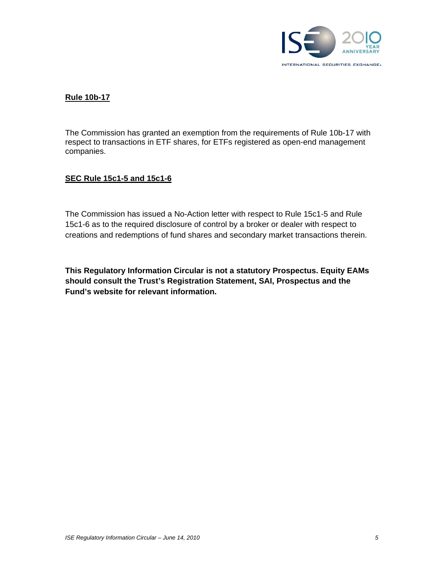

### **Rule 10b-17**

The Commission has granted an exemption from the requirements of Rule 10b-17 with respect to transactions in ETF shares, for ETFs registered as open-end management companies.

#### **SEC Rule 15c1-5 and 15c1-6**

The Commission has issued a No-Action letter with respect to Rule 15c1-5 and Rule 15c1-6 as to the required disclosure of control by a broker or dealer with respect to creations and redemptions of fund shares and secondary market transactions therein.

**This Regulatory Information Circular is not a statutory Prospectus. Equity EAMs should consult the Trust's Registration Statement, SAI, Prospectus and the Fund's website for relevant information.**